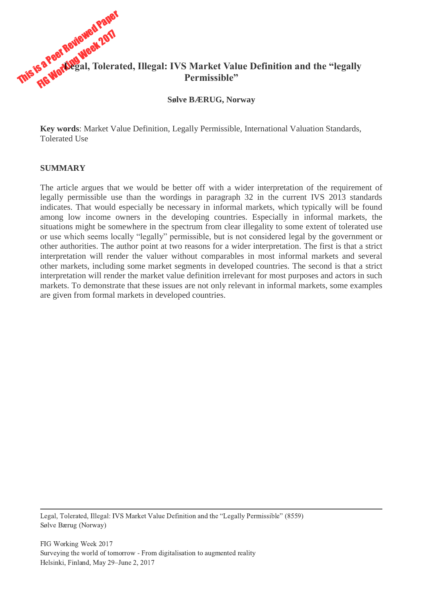

**Sølve BÆRUG, Norway**

**Key words**: Market Value Definition, Legally Permissible, International Valuation Standards, Tolerated Use

### **SUMMARY**

The article argues that we would be better off with a wider interpretation of the requirement of legally permissible use than the wordings in paragraph 32 in the current IVS 2013 standards indicates. That would especially be necessary in informal markets, which typically will be found among low income owners in the developing countries. Especially in informal markets, the situations might be somewhere in the spectrum from clear illegality to some extent of tolerated use or use which seems locally "legally" permissible, but is not considered legal by the government or other authorities. The author point at two reasons for a wider interpretation. The first is that a strict interpretation will render the valuer without comparables in most informal markets and several other markets, including some market segments in developed countries. The second is that a strict interpretation will render the market value definition irrelevant for most purposes and actors in such markets. To demonstrate that these issues are not only relevant in informal markets, some examples are given from formal markets in developed countries.

Legal, Tolerated, Illegal: IVS Market Value Definition and the "Legally Permissible" (8559) Sølve Bærug (Norway)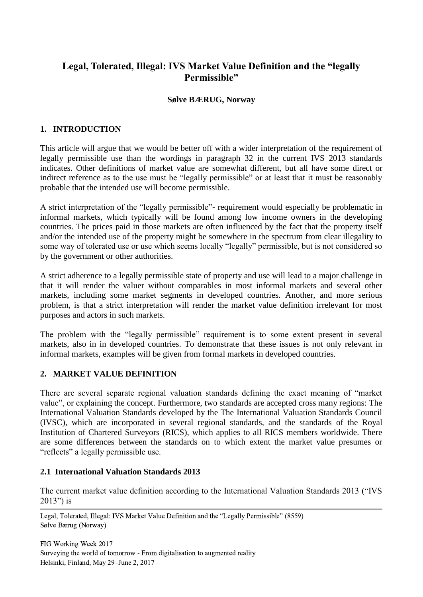# **Legal, Tolerated, Illegal: IVS Market Value Definition and the "legally Permissible"**

### **Sølve BÆRUG, Norway**

## **1. INTRODUCTION**

This article will argue that we would be better off with a wider interpretation of the requirement of legally permissible use than the wordings in paragraph 32 in the current IVS 2013 standards indicates. Other definitions of market value are somewhat different, but all have some direct or indirect reference as to the use must be "legally permissible" or at least that it must be reasonably probable that the intended use will become permissible.

A strict interpretation of the "legally permissible"- requirement would especially be problematic in informal markets, which typically will be found among low income owners in the developing countries. The prices paid in those markets are often influenced by the fact that the property itself and/or the intended use of the property might be somewhere in the spectrum from clear illegality to some way of tolerated use or use which seems locally "legally" permissible, but is not considered so by the government or other authorities.

A strict adherence to a legally permissible state of property and use will lead to a major challenge in that it will render the valuer without comparables in most informal markets and several other markets, including some market segments in developed countries. Another, and more serious problem, is that a strict interpretation will render the market value definition irrelevant for most purposes and actors in such markets.

The problem with the "legally permissible" requirement is to some extent present in several markets, also in in developed countries. To demonstrate that these issues is not only relevant in informal markets, examples will be given from formal markets in developed countries.

## **2. MARKET VALUE DEFINITION**

There are several separate regional valuation standards defining the exact meaning of "market value", or explaining the concept. Furthermore, two standards are accepted cross many regions: The International Valuation Standards developed by the The International Valuation Standards Council (IVSC), which are incorporated in several regional standards, and the standards of the Royal Institution of Chartered Surveyors (RICS), which applies to all RICS members worldwide. There are some differences between the standards on to which extent the market value presumes or "reflects" a legally permissible use.

### **2.1 International Valuation Standards 2013**

The current market value definition according to the International Valuation Standards 2013 ("IVS 2013") is

 Legal, Tolerated, Illegal: IVS Market Value Definition and the "Legally Permissible" (8559) Sølve Bærug (Norway)

FIG Working Week 2017 Surveying the world of tomorrow - From digitalisation to augmented reality Helsinki, Finland, May 29–June 2, 2017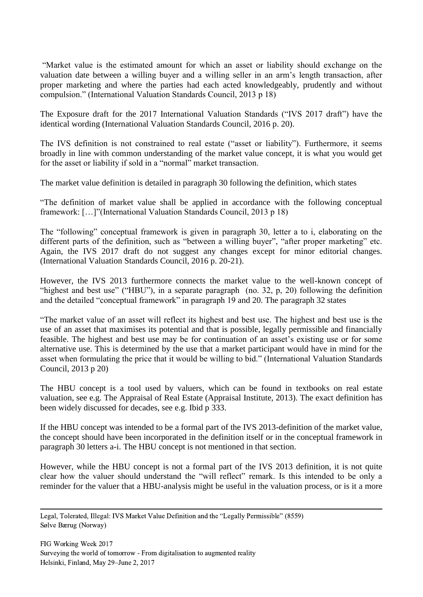"Market value is the estimated amount for which an asset or liability should exchange on the valuation date between a willing buyer and a willing seller in an arm's length transaction, after proper marketing and where the parties had each acted knowledgeably, prudently and without compulsion." (International Valuation Standards Council, 2013 p 18)

The Exposure draft for the 2017 International Valuation Standards ("IVS 2017 draft") have the identical wording (International Valuation Standards Council, 2016 p. 20).

The IVS definition is not constrained to real estate ("asset or liability"). Furthermore, it seems broadly in line with common understanding of the market value concept, it is what you would get for the asset or liability if sold in a "normal" market transaction.

The market value definition is detailed in paragraph 30 following the definition, which states

"The definition of market value shall be applied in accordance with the following conceptual framework: […]"(International Valuation Standards Council, 2013 p 18)

The "following" conceptual framework is given in paragraph 30, letter a to i, elaborating on the different parts of the definition, such as "between a willing buyer", "after proper marketing" etc. Again, the IVS 2017 draft do not suggest any changes except for minor editorial changes. (International Valuation Standards Council, 2016 p. 20-21).

However, the IVS 2013 furthermore connects the market value to the well-known concept of "highest and best use" ("HBU"), in a separate paragraph (no. 32, p, 20) following the definition and the detailed "conceptual framework" in paragraph 19 and 20. The paragraph 32 states

"The market value of an asset will reflect its highest and best use. The highest and best use is the use of an asset that maximises its potential and that is possible, legally permissible and financially feasible. The highest and best use may be for continuation of an asset's existing use or for some alternative use. This is determined by the use that a market participant would have in mind for the asset when formulating the price that it would be willing to bid." (International Valuation Standards Council, 2013 p 20)

The HBU concept is a tool used by valuers, which can be found in textbooks on real estate valuation, see e.g. The Appraisal of Real Estate (Appraisal Institute, 2013). The exact definition has been widely discussed for decades, see e.g. Ibid p 333.

If the HBU concept was intended to be a formal part of the IVS 2013-definition of the market value, the concept should have been incorporated in the definition itself or in the conceptual framework in paragraph 30 letters a-i. The HBU concept is not mentioned in that section.

However, while the HBU concept is not a formal part of the IVS 2013 definition, it is not quite clear how the valuer should understand the "will reflect" remark. Is this intended to be only a reminder for the valuer that a HBU-analysis might be useful in the valuation process, or is it a more

 Legal, Tolerated, Illegal: IVS Market Value Definition and the "Legally Permissible" (8559) Sølve Bærug (Norway)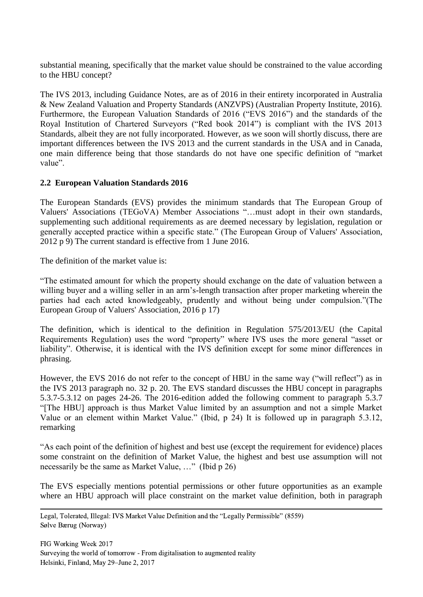substantial meaning, specifically that the market value should be constrained to the value according to the HBU concept?

The IVS 2013, including Guidance Notes, are as of 2016 in their entirety incorporated in Australia & New Zealand Valuation and Property Standards (ANZVPS) (Australian Property Institute, 2016). Furthermore, the European Valuation Standards of 2016 ("EVS 2016") and the standards of the Royal Institution of Chartered Surveyors ("Red book 2014") is compliant with the IVS 2013 Standards, albeit they are not fully incorporated. However, as we soon will shortly discuss, there are important differences between the IVS 2013 and the current standards in the USA and in Canada, one main difference being that those standards do not have one specific definition of "market value".

## **2.2 European Valuation Standards 2016**

The European Standards (EVS) provides the minimum standards that The European Group of Valuers' Associations (TEGoVA) Member Associations "…must adopt in their own standards, supplementing such additional requirements as are deemed necessary by legislation, regulation or generally accepted practice within a specific state." (The European Group of Valuers' Association, 2012 p 9) The current standard is effective from 1 June 2016.

The definition of the market value is:

"The estimated amount for which the property should exchange on the date of valuation between a willing buyer and a willing seller in an arm's-length transaction after proper marketing wherein the parties had each acted knowledgeably, prudently and without being under compulsion."(The European Group of Valuers' Association, 2016 p 17)

The definition, which is identical to the definition in Regulation 575/2013/EU (the Capital Requirements Regulation) uses the word "property" where IVS uses the more general "asset or liability". Otherwise, it is identical with the IVS definition except for some minor differences in phrasing.

However, the EVS 2016 do not refer to the concept of HBU in the same way ("will reflect") as in the IVS 2013 paragraph no. 32 p. 20. The EVS standard discusses the HBU concept in paragraphs 5.3.7-5.3.12 on pages 24-26. The 2016-edition added the following comment to paragraph 5.3.7 "[The HBU] approach is thus Market Value limited by an assumption and not a simple Market Value or an element within Market Value." (Ibid, p 24) It is followed up in paragraph 5.3.12, remarking

"As each point of the definition of highest and best use (except the requirement for evidence) places some constraint on the definition of Market Value, the highest and best use assumption will not necessarily be the same as Market Value, …" (Ibid p 26)

The EVS especially mentions potential permissions or other future opportunities as an example where an HBU approach will place constraint on the market value definition, both in paragraph

 Legal, Tolerated, Illegal: IVS Market Value Definition and the "Legally Permissible" (8559) Sølve Bærug (Norway)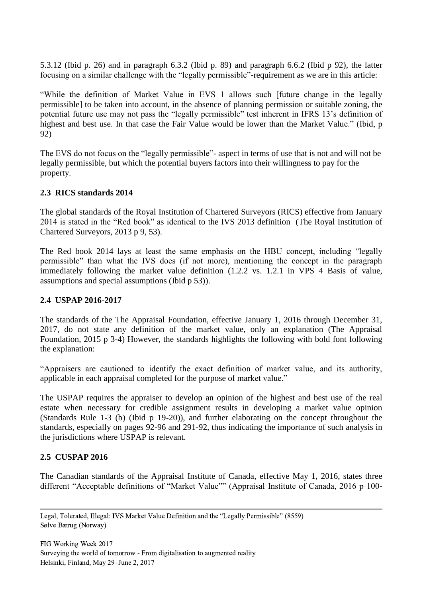5.3.12 (Ibid p. 26) and in paragraph 6.3.2 (Ibid p. 89) and paragraph 6.6.2 (Ibid p 92), the latter focusing on a similar challenge with the "legally permissible"-requirement as we are in this article:

"While the definition of Market Value in EVS 1 allows such [future change in the legally permissible] to be taken into account, in the absence of planning permission or suitable zoning, the potential future use may not pass the "legally permissible" test inherent in IFRS 13's definition of highest and best use. In that case the Fair Value would be lower than the Market Value." (Ibid, p 92)

The EVS do not focus on the "legally permissible"- aspect in terms of use that is not and will not be legally permissible, but which the potential buyers factors into their willingness to pay for the property.

## **2.3 RICS standards 2014**

The global standards of the Royal Institution of Chartered Surveyors (RICS) effective from January 2014 is stated in the "Red book" as identical to the IVS 2013 definition (The Royal Institution of Chartered Surveyors, 2013 p 9, 53).

The Red book 2014 lays at least the same emphasis on the HBU concept, including "legally permissible" than what the IVS does (if not more), mentioning the concept in the paragraph immediately following the market value definition (1.2.2 vs. 1.2.1 in VPS 4 Basis of value, assumptions and special assumptions (Ibid p 53)).

### **2.4 USPAP 2016-2017**

The standards of the The Appraisal Foundation, effective January 1, 2016 through December 31, 2017, do not state any definition of the market value, only an explanation (The Appraisal Foundation, 2015 p 3-4) However, the standards highlights the following with bold font following the explanation:

"Appraisers are cautioned to identify the exact definition of market value, and its authority, applicable in each appraisal completed for the purpose of market value."

The USPAP requires the appraiser to develop an opinion of the highest and best use of the real estate when necessary for credible assignment results in developing a market value opinion (Standards Rule 1-3 (b) (Ibid p 19-20)), and further elaborating on the concept throughout the standards, especially on pages 92-96 and 291-92, thus indicating the importance of such analysis in the jurisdictions where USPAP is relevant.

## **2.5 CUSPAP 2016**

The Canadian standards of the Appraisal Institute of Canada, effective May 1, 2016, states three different "Acceptable definitions of "Market Value"" (Appraisal Institute of Canada, 2016 p 100-

 Legal, Tolerated, Illegal: IVS Market Value Definition and the "Legally Permissible" (8559) Sølve Bærug (Norway)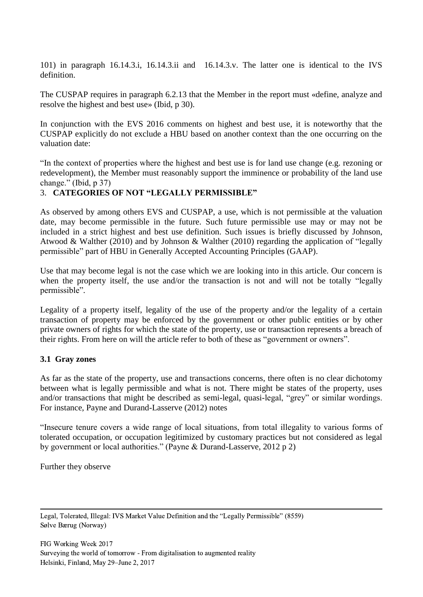101) in paragraph 16.14.3.i, 16.14.3.ii and 16.14.3.v. The latter one is identical to the IVS definition.

The CUSPAP requires in paragraph 6.2.13 that the Member in the report must «define, analyze and resolve the highest and best use» (Ibid, p 30).

In conjunction with the EVS 2016 comments on highest and best use, it is noteworthy that the CUSPAP explicitly do not exclude a HBU based on another context than the one occurring on the valuation date:

"In the context of properties where the highest and best use is for land use change (e.g. rezoning or redevelopment), the Member must reasonably support the imminence or probability of the land use change." (Ibid, p 37)

## 3. **CATEGORIES OF NOT "LEGALLY PERMISSIBLE"**

As observed by among others EVS and CUSPAP, a use, which is not permissible at the valuation date, may become permissible in the future. Such future permissible use may or may not be included in a strict highest and best use definition. Such issues is briefly discussed by Johnson, Atwood & Walther (2010) and by Johnson & Walther (2010) regarding the application of "legally permissible" part of HBU in Generally Accepted Accounting Principles (GAAP).

Use that may become legal is not the case which we are looking into in this article. Our concern is when the property itself, the use and/or the transaction is not and will not be totally "legally permissible".

Legality of a property itself, legality of the use of the property and/or the legality of a certain transaction of property may be enforced by the government or other public entities or by other private owners of rights for which the state of the property, use or transaction represents a breach of their rights. From here on will the article refer to both of these as "government or owners".

## **3.1 Gray zones**

As far as the state of the property, use and transactions concerns, there often is no clear dichotomy between what is legally permissible and what is not. There might be states of the property, uses and/or transactions that might be described as semi-legal, quasi-legal, "grey" or similar wordings. For instance, Payne and Durand-Lasserve (2012) notes

"Insecure tenure covers a wide range of local situations, from total illegality to various forms of tolerated occupation, or occupation legitimized by customary practices but not considered as legal by government or local authorities." (Payne & Durand-Lasserve, 2012 p 2)

Further they observe

 Legal, Tolerated, Illegal: IVS Market Value Definition and the "Legally Permissible" (8559) Sølve Bærug (Norway)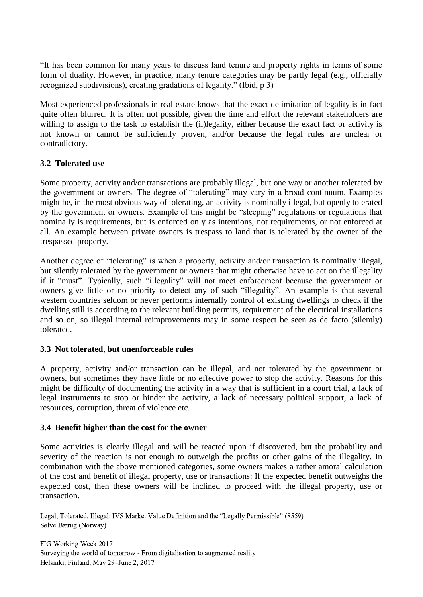"It has been common for many years to discuss land tenure and property rights in terms of some form of duality. However, in practice, many tenure categories may be partly legal (e.g., officially recognized subdivisions), creating gradations of legality." (Ibid, p 3)

Most experienced professionals in real estate knows that the exact delimitation of legality is in fact quite often blurred. It is often not possible, given the time and effort the relevant stakeholders are willing to assign to the task to establish the (il)legality, either because the exact fact or activity is not known or cannot be sufficiently proven, and/or because the legal rules are unclear or contradictory.

## **3.2 Tolerated use**

Some property, activity and/or transactions are probably illegal, but one way or another tolerated by the government or owners. The degree of "tolerating" may vary in a broad continuum. Examples might be, in the most obvious way of tolerating, an activity is nominally illegal, but openly tolerated by the government or owners. Example of this might be "sleeping" regulations or regulations that nominally is requirements, but is enforced only as intentions, not requirements, or not enforced at all. An example between private owners is trespass to land that is tolerated by the owner of the trespassed property.

Another degree of "tolerating" is when a property, activity and/or transaction is nominally illegal, but silently tolerated by the government or owners that might otherwise have to act on the illegality if it "must". Typically, such "illegality" will not meet enforcement because the government or owners give little or no priority to detect any of such "illegality". An example is that several western countries seldom or never performs internally control of existing dwellings to check if the dwelling still is according to the relevant building permits, requirement of the electrical installations and so on, so illegal internal reimprovements may in some respect be seen as de facto (silently) tolerated.

## **3.3 Not tolerated, but unenforceable rules**

A property, activity and/or transaction can be illegal, and not tolerated by the government or owners, but sometimes they have little or no effective power to stop the activity. Reasons for this might be difficulty of documenting the activity in a way that is sufficient in a court trial, a lack of legal instruments to stop or hinder the activity, a lack of necessary political support, a lack of resources, corruption, threat of violence etc.

### **3.4 Benefit higher than the cost for the owner**

Some activities is clearly illegal and will be reacted upon if discovered, but the probability and severity of the reaction is not enough to outweigh the profits or other gains of the illegality. In combination with the above mentioned categories, some owners makes a rather amoral calculation of the cost and benefit of illegal property, use or transactions: If the expected benefit outweighs the expected cost, then these owners will be inclined to proceed with the illegal property, use or transaction.

 Legal, Tolerated, Illegal: IVS Market Value Definition and the "Legally Permissible" (8559) Sølve Bærug (Norway)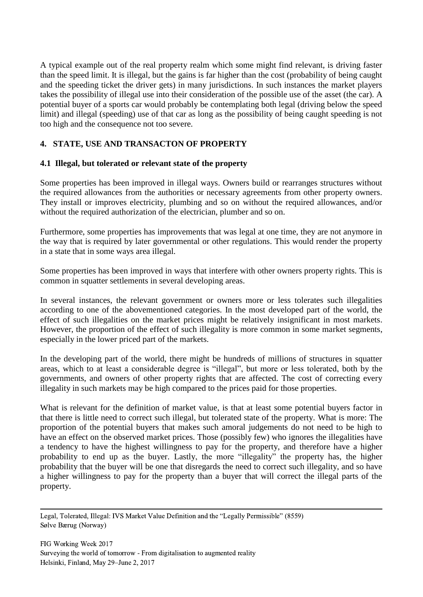A typical example out of the real property realm which some might find relevant, is driving faster than the speed limit. It is illegal, but the gains is far higher than the cost (probability of being caught and the speeding ticket the driver gets) in many jurisdictions. In such instances the market players takes the possibility of illegal use into their consideration of the possible use of the asset (the car). A potential buyer of a sports car would probably be contemplating both legal (driving below the speed limit) and illegal (speeding) use of that car as long as the possibility of being caught speeding is not too high and the consequence not too severe.

# **4. STATE, USE AND TRANSACTON OF PROPERTY**

## **4.1 Illegal, but tolerated or relevant state of the property**

Some properties has been improved in illegal ways. Owners build or rearranges structures without the required allowances from the authorities or necessary agreements from other property owners. They install or improves electricity, plumbing and so on without the required allowances, and/or without the required authorization of the electrician, plumber and so on.

Furthermore, some properties has improvements that was legal at one time, they are not anymore in the way that is required by later governmental or other regulations. This would render the property in a state that in some ways area illegal.

Some properties has been improved in ways that interfere with other owners property rights. This is common in squatter settlements in several developing areas.

In several instances, the relevant government or owners more or less tolerates such illegalities according to one of the abovementioned categories. In the most developed part of the world, the effect of such illegalities on the market prices might be relatively insignificant in most markets. However, the proportion of the effect of such illegality is more common in some market segments, especially in the lower priced part of the markets.

In the developing part of the world, there might be hundreds of millions of structures in squatter areas, which to at least a considerable degree is "illegal", but more or less tolerated, both by the governments, and owners of other property rights that are affected. The cost of correcting every illegality in such markets may be high compared to the prices paid for those properties.

What is relevant for the definition of market value, is that at least some potential buyers factor in that there is little need to correct such illegal, but tolerated state of the property. What is more: The proportion of the potential buyers that makes such amoral judgements do not need to be high to have an effect on the observed market prices. Those (possibly few) who ignores the illegalities have a tendency to have the highest willingness to pay for the property, and therefore have a higher probability to end up as the buyer. Lastly, the more "illegality" the property has, the higher probability that the buyer will be one that disregards the need to correct such illegality, and so have a higher willingness to pay for the property than a buyer that will correct the illegal parts of the property.

 Legal, Tolerated, Illegal: IVS Market Value Definition and the "Legally Permissible" (8559) Sølve Bærug (Norway)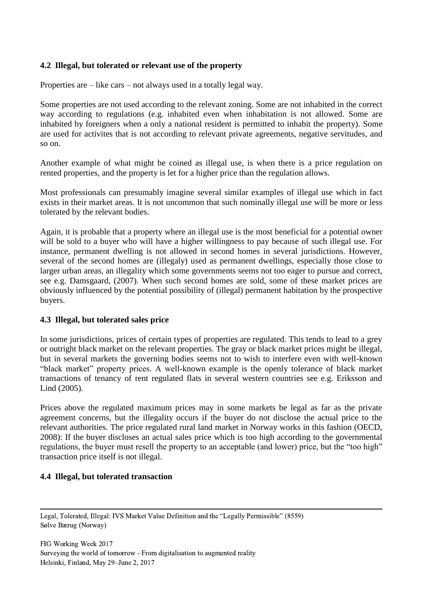## **4.2 Illegal, but tolerated or relevant use of the property**

Properties are – like cars – not always used in a totally legal way.

Some properties are not used according to the relevant zoning. Some are not inhabited in the correct way according to regulations (e.g. inhabited even when inhabitation is not allowed. Some are inhabited by foreigners when a only a national resident is permitted to inhabit the property). Some are used for activites that is not according to relevant private agreements, negative servitudes, and so on.

Another example of what might be coined as illegal use, is when there is a price regulation on rented properties, and the property is let for a higher price than the regulation allows.

Most professionals can presumably imagine several similar examples of illegal use which in fact exists in their market areas. It is not uncommon that such nominally illegal use will be more or less tolerated by the relevant bodies.

Again, it is probable that a property where an illegal use is the most beneficial for a potential owner will be sold to a buyer who will have a higher willingness to pay because of such illegal use. For instance, permanent dwelling is not allowed in second homes in several jurisdictions. However, several of the second homes are (illegaly) used as permanent dwellings, especially those close to larger urban areas, an illegality which some governments seems not too eager to pursue and correct, see e.g. Damsgaard, (2007). When such second homes are sold, some of these market prices are obviously influenced by the potential possibility of (illegal) permanent habitation by the prospective buyers.

### **4.3 Illegal, but tolerated sales price**

In some jurisdictions, prices of certain types of properties are regulated. This tends to lead to a grey or outright black market on the relevant properties. The gray or black market prices might be illegal, but in several markets the governing bodies seems not to wish to interfere even with well-known "black market" property prices. A well-known example is the openly tolerance of black market transactions of tenancy of rent regulated flats in several western countries see e.g. Eriksson and Lind (2005).

Prices above the regulated maximum prices may in some markets be legal as far as the private agreement concerns, but the illegality occurs if the buyer do not disclose the actual price to the relevant authorities. The price regulated rural land market in Norway works in this fashion (OECD, 2008): If the buyer discloses an actual sales price which is too high according to the governmental regulations, the buyer must resell the property to an acceptable (and lower) price, but the "too high" transaction price itself is not illegal.

### **4.4 Illegal, but tolerated transaction**

 Legal, Tolerated, Illegal: IVS Market Value Definition and the "Legally Permissible" (8559) Sølve Bærug (Norway)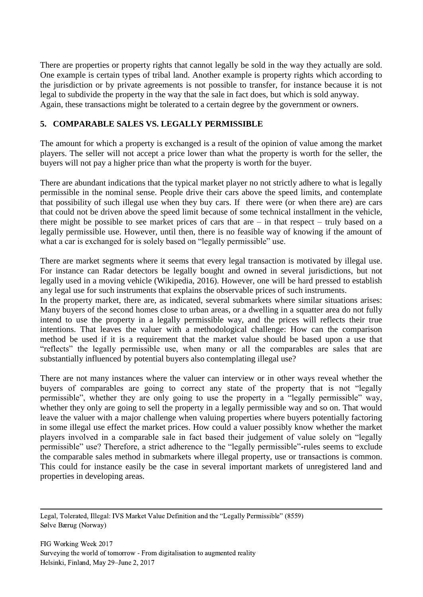There are properties or property rights that cannot legally be sold in the way they actually are sold. One example is certain types of tribal land. Another example is property rights which according to the jurisdiction or by private agreements is not possible to transfer, for instance because it is not legal to subdivide the property in the way that the sale in fact does, but which is sold anyway. Again, these transactions might be tolerated to a certain degree by the government or owners.

## **5. COMPARABLE SALES VS. LEGALLY PERMISSIBLE**

The amount for which a property is exchanged is a result of the opinion of value among the market players. The seller will not accept a price lower than what the property is worth for the seller, the buyers will not pay a higher price than what the property is worth for the buyer.

There are abundant indications that the typical market player no not strictly adhere to what is legally permissible in the nominal sense. People drive their cars above the speed limits, and contemplate that possibility of such illegal use when they buy cars. If there were (or when there are) are cars that could not be driven above the speed limit because of some technical installment in the vehicle, there might be possible to see market prices of cars that are  $-$  in that respect  $-$  truly based on a legally permissible use. However, until then, there is no feasible way of knowing if the amount of what a car is exchanged for is solely based on "legally permissible" use.

There are market segments where it seems that every legal transaction is motivated by illegal use. For instance can Radar detectors be legally bought and owned in several jurisdictions, but not legally used in a moving vehicle (Wikipedia, 2016). However, one will be hard pressed to establish any legal use for such instruments that explains the observable prices of such instruments.

In the property market, there are, as indicated, several submarkets where similar situations arises: Many buyers of the second homes close to urban areas, or a dwelling in a squatter area do not fully intend to use the property in a legally permissible way, and the prices will reflects their true intentions. That leaves the valuer with a methodological challenge: How can the comparison method be used if it is a requirement that the market value should be based upon a use that "reflects" the legally permissible use, when many or all the comparables are sales that are substantially influenced by potential buyers also contemplating illegal use?

There are not many instances where the valuer can interview or in other ways reveal whether the buyers of comparables are going to correct any state of the property that is not "legally permissible", whether they are only going to use the property in a "legally permissible" way, whether they only are going to sell the property in a legally permissible way and so on. That would leave the valuer with a major challenge when valuing properties where buyers potentially factoring in some illegal use effect the market prices. How could a valuer possibly know whether the market players involved in a comparable sale in fact based their judgement of value solely on "legally permissible" use? Therefore, a strict adherence to the "legally permissible"-rules seems to exclude the comparable sales method in submarkets where illegal property, use or transactions is common. This could for instance easily be the case in several important markets of unregistered land and properties in developing areas.

 Legal, Tolerated, Illegal: IVS Market Value Definition and the "Legally Permissible" (8559) Sølve Bærug (Norway)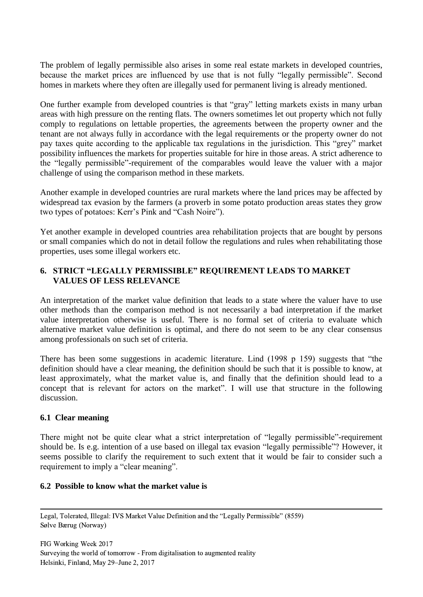The problem of legally permissible also arises in some real estate markets in developed countries, because the market prices are influenced by use that is not fully "legally permissible". Second homes in markets where they often are illegally used for permanent living is already mentioned.

One further example from developed countries is that "gray" letting markets exists in many urban areas with high pressure on the renting flats. The owners sometimes let out property which not fully comply to regulations on lettable properties, the agreements between the property owner and the tenant are not always fully in accordance with the legal requirements or the property owner do not pay taxes quite according to the applicable tax regulations in the jurisdiction. This "grey" market possibility influences the markets for properties suitable for hire in those areas. A strict adherence to the "legally permissible"-requirement of the comparables would leave the valuer with a major challenge of using the comparison method in these markets.

Another example in developed countries are rural markets where the land prices may be affected by widespread tax evasion by the farmers (a proverb in some potato production areas states they grow two types of potatoes: Kerr's Pink and "Cash Noire").

Yet another example in developed countries area rehabilitation projects that are bought by persons or small companies which do not in detail follow the regulations and rules when rehabilitating those properties, uses some illegal workers etc.

## **6. STRICT "LEGALLY PERMISSIBLE" REQUIREMENT LEADS TO MARKET VALUES OF LESS RELEVANCE**

An interpretation of the market value definition that leads to a state where the valuer have to use other methods than the comparison method is not necessarily a bad interpretation if the market value interpretation otherwise is useful. There is no formal set of criteria to evaluate which alternative market value definition is optimal, and there do not seem to be any clear consensus among professionals on such set of criteria.

There has been some suggestions in academic literature. Lind (1998 p 159) suggests that "the definition should have a clear meaning, the definition should be such that it is possible to know, at least approximately, what the market value is, and finally that the definition should lead to a concept that is relevant for actors on the market". I will use that structure in the following discussion.

## **6.1 Clear meaning**

There might not be quite clear what a strict interpretation of "legally permissible"-requirement should be. Is e.g. intention of a use based on illegal tax evasion "legally permissible"? However, it seems possible to clarify the requirement to such extent that it would be fair to consider such a requirement to imply a "clear meaning".

### **6.2 Possible to know what the market value is**

 Legal, Tolerated, Illegal: IVS Market Value Definition and the "Legally Permissible" (8559) Sølve Bærug (Norway)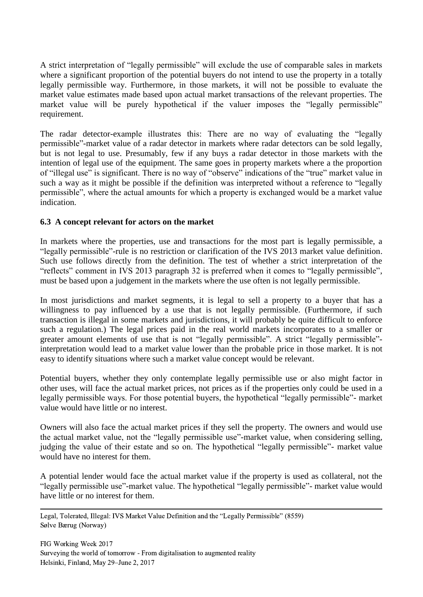A strict interpretation of "legally permissible" will exclude the use of comparable sales in markets where a significant proportion of the potential buyers do not intend to use the property in a totally legally permissible way. Furthermore, in those markets, it will not be possible to evaluate the market value estimates made based upon actual market transactions of the relevant properties. The market value will be purely hypothetical if the valuer imposes the "legally permissible" requirement.

The radar detector-example illustrates this: There are no way of evaluating the "legally permissible"-market value of a radar detector in markets where radar detectors can be sold legally, but is not legal to use. Presumably, few if any buys a radar detector in those markets with the intention of legal use of the equipment. The same goes in property markets where a the proportion of "illegal use" is significant. There is no way of "observe" indications of the "true" market value in such a way as it might be possible if the definition was interpreted without a reference to "legally permissible", where the actual amounts for which a property is exchanged would be a market value indication.

## **6.3 A concept relevant for actors on the market**

In markets where the properties, use and transactions for the most part is legally permissible, a "legally permissible"-rule is no restriction or clarification of the IVS 2013 market value definition. Such use follows directly from the definition. The test of whether a strict interpretation of the "reflects" comment in IVS 2013 paragraph 32 is preferred when it comes to "legally permissible", must be based upon a judgement in the markets where the use often is not legally permissible.

In most jurisdictions and market segments, it is legal to sell a property to a buyer that has a willingness to pay influenced by a use that is not legally permissible. (Furthermore, if such transaction is illegal in some markets and jurisdictions, it will probably be quite difficult to enforce such a regulation.) The legal prices paid in the real world markets incorporates to a smaller or greater amount elements of use that is not "legally permissible". A strict "legally permissible" interpretation would lead to a market value lower than the probable price in those market. It is not easy to identify situations where such a market value concept would be relevant.

Potential buyers, whether they only contemplate legally permissible use or also might factor in other uses, will face the actual market prices, not prices as if the properties only could be used in a legally permissible ways. For those potential buyers, the hypothetical "legally permissible"- market value would have little or no interest.

Owners will also face the actual market prices if they sell the property. The owners and would use the actual market value, not the "legally permissible use"-market value, when considering selling, judging the value of their estate and so on. The hypothetical "legally permissible"- market value would have no interest for them.

A potential lender would face the actual market value if the property is used as collateral, not the "legally permissible use"-market value. The hypothetical "legally permissible"- market value would have little or no interest for them.

 Legal, Tolerated, Illegal: IVS Market Value Definition and the "Legally Permissible" (8559) Sølve Bærug (Norway)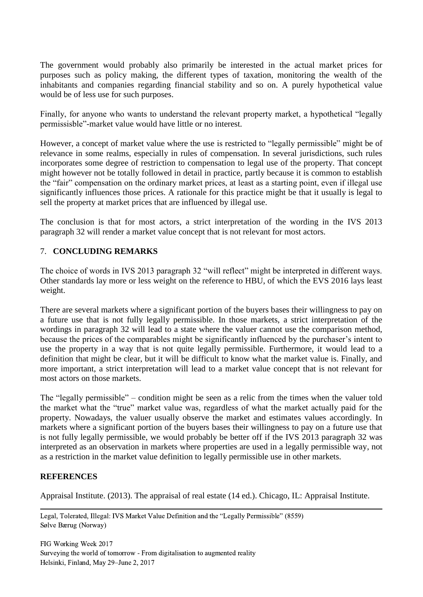The government would probably also primarily be interested in the actual market prices for purposes such as policy making, the different types of taxation, monitoring the wealth of the inhabitants and companies regarding financial stability and so on. A purely hypothetical value would be of less use for such purposes.

Finally, for anyone who wants to understand the relevant property market, a hypothetical "legally permissisble"-market value would have little or no interest.

However, a concept of market value where the use is restricted to "legally permissible" might be of relevance in some realms, especially in rules of compensation. In several jurisdictions, such rules incorporates some degree of restriction to compensation to legal use of the property. That concept might however not be totally followed in detail in practice, partly because it is common to establish the "fair" compensation on the ordinary market prices, at least as a starting point, even if illegal use significantly influences those prices. A rationale for this practice might be that it usually is legal to sell the property at market prices that are influenced by illegal use.

The conclusion is that for most actors, a strict interpretation of the wording in the IVS 2013 paragraph 32 will render a market value concept that is not relevant for most actors.

## 7. **CONCLUDING REMARKS**

The choice of words in IVS 2013 paragraph 32 "will reflect" might be interpreted in different ways. Other standards lay more or less weight on the reference to HBU, of which the EVS 2016 lays least weight.

There are several markets where a significant portion of the buyers bases their willingness to pay on a future use that is not fully legally permissible. In those markets, a strict interpretation of the wordings in paragraph 32 will lead to a state where the valuer cannot use the comparison method, because the prices of the comparables might be significantly influenced by the purchaser's intent to use the property in a way that is not quite legally permissible. Furthermore, it would lead to a definition that might be clear, but it will be difficult to know what the market value is. Finally, and more important, a strict interpretation will lead to a market value concept that is not relevant for most actors on those markets.

The "legally permissible" – condition might be seen as a relic from the times when the valuer told the market what the "true" market value was, regardless of what the market actually paid for the property. Nowadays, the valuer usually observe the market and estimates values accordingly. In markets where a significant portion of the buyers bases their willingness to pay on a future use that is not fully legally permissible, we would probably be better off if the IVS 2013 paragraph 32 was interpreted as an observation in markets where properties are used in a legally permissible way, not as a restriction in the market value definition to legally permissible use in other markets.

## **REFERENCES**

Appraisal Institute. (2013). The appraisal of real estate (14 ed.). Chicago, IL: Appraisal Institute.

 Legal, Tolerated, Illegal: IVS Market Value Definition and the "Legally Permissible" (8559) Sølve Bærug (Norway)

FIG Working Week 2017 Surveying the world of tomorrow - From digitalisation to augmented reality Helsinki, Finland, May 29–June 2, 2017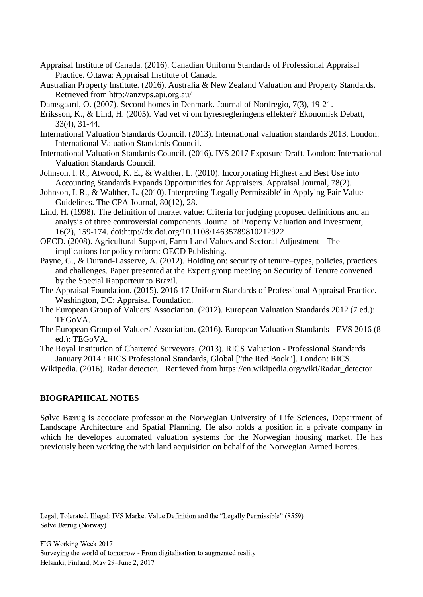- Appraisal Institute of Canada. (2016). Canadian Uniform Standards of Professional Appraisal Practice. Ottawa: Appraisal Institute of Canada.
- Australian Property Institute. (2016). Australia & New Zealand Valuation and Property Standards. Retrieved from http://anzvps.api.org.au/
- Damsgaard, O. (2007). Second homes in Denmark. Journal of Nordregio, 7(3), 19-21.
- Eriksson, K., & Lind, H. (2005). Vad vet vi om hyresregleringens effekter? Ekonomisk Debatt, 33(4), 31-44.
- International Valuation Standards Council. (2013). International valuation standards 2013. London: International Valuation Standards Council.
- International Valuation Standards Council. (2016). IVS 2017 Exposure Draft. London: International Valuation Standards Council.
- Johnson, I. R., Atwood, K. E., & Walther, L. (2010). Incorporating Highest and Best Use into Accounting Standards Expands Opportunities for Appraisers. Appraisal Journal, 78(2).
- Johnson, I. R., & Walther, L. (2010). Interpreting 'Legally Permissible' in Applying Fair Value Guidelines. The CPA Journal, 80(12), 28.
- Lind, H. (1998). The definition of market value: Criteria for judging proposed definitions and an analysis of three controversial components. Journal of Property Valuation and Investment, 16(2), 159-174. doi:http://dx.doi.org/10.1108/14635789810212922
- OECD. (2008). Agricultural Support, Farm Land Values and Sectoral Adjustment The implications for policy reform: OECD Publishing.
- Payne, G., & Durand-Lasserve, A. (2012). Holding on: security of tenure–types, policies, practices and challenges. Paper presented at the Expert group meeting on Security of Tenure convened by the Special Rapporteur to Brazil.
- The Appraisal Foundation. (2015). 2016-17 Uniform Standards of Professional Appraisal Practice. Washington, DC: Appraisal Foundation.
- The European Group of Valuers' Association. (2012). European Valuation Standards 2012 (7 ed.): TEGoVA.
- The European Group of Valuers' Association. (2016). European Valuation Standards EVS 2016 (8 ed.): TEGoVA.
- The Royal Institution of Chartered Surveyors. (2013). RICS Valuation Professional Standards January 2014 : RICS Professional Standards, Global ["the Red Book"]. London: RICS.
- Wikipedia. (2016). Radar detector. Retrieved from https://en.wikipedia.org/wiki/Radar\_detector

## **BIOGRAPHICAL NOTES**

Sølve Bærug is accociate professor at the Norwegian University of Life Sciences, Department of Landscape Architecture and Spatial Planning. He also holds a position in a private company in which he developes automated valuation systems for the Norwegian housing market. He has previously been working the with land acquisition on behalf of the Norwegian Armed Forces.

 Legal, Tolerated, Illegal: IVS Market Value Definition and the "Legally Permissible" (8559) Sølve Bærug (Norway)